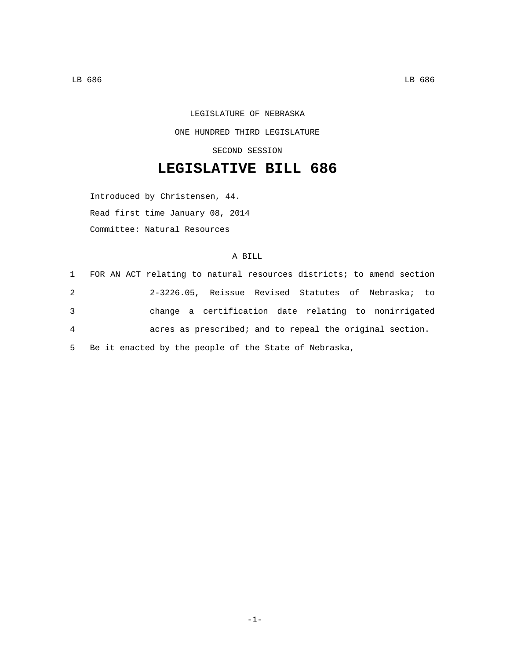LEGISLATURE OF NEBRASKA ONE HUNDRED THIRD LEGISLATURE SECOND SESSION

## **LEGISLATIVE BILL 686**

Introduced by Christensen, 44. Read first time January 08, 2014 Committee: Natural Resources

## A BILL

| $\mathbf{1}$   | FOR AN ACT relating to natural resources districts; to amend section |                                                      |  |  |  |  |
|----------------|----------------------------------------------------------------------|------------------------------------------------------|--|--|--|--|
| 2              |                                                                      | 2-3226.05, Reissue Revised Statutes of Nebraska; to  |  |  |  |  |
| 3              |                                                                      | change a certification date relating to nonirrigated |  |  |  |  |
| $\overline{4}$ | acres as prescribed; and to repeal the original section.             |                                                      |  |  |  |  |
|                | 5 Be it enacted by the people of the State of Nebraska,              |                                                      |  |  |  |  |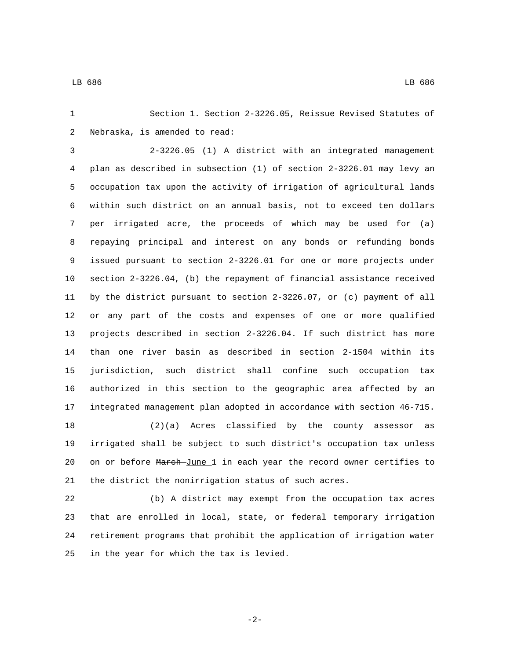Section 1. Section 2-3226.05, Reissue Revised Statutes of 2 Nebraska, is amended to read:

 2-3226.05 (1) A district with an integrated management plan as described in subsection (1) of section 2-3226.01 may levy an occupation tax upon the activity of irrigation of agricultural lands within such district on an annual basis, not to exceed ten dollars per irrigated acre, the proceeds of which may be used for (a) repaying principal and interest on any bonds or refunding bonds issued pursuant to section 2-3226.01 for one or more projects under section 2-3226.04, (b) the repayment of financial assistance received by the district pursuant to section 2-3226.07, or (c) payment of all or any part of the costs and expenses of one or more qualified projects described in section 2-3226.04. If such district has more than one river basin as described in section 2-1504 within its jurisdiction, such district shall confine such occupation tax authorized in this section to the geographic area affected by an integrated management plan adopted in accordance with section 46-715. (2)(a) Acres classified by the county assessor as irrigated shall be subject to such district's occupation tax unless

20 on or before March June 1 in each year the record owner certifies to the district the nonirrigation status of such acres.

 (b) A district may exempt from the occupation tax acres that are enrolled in local, state, or federal temporary irrigation retirement programs that prohibit the application of irrigation water 25 in the year for which the tax is levied.

-2-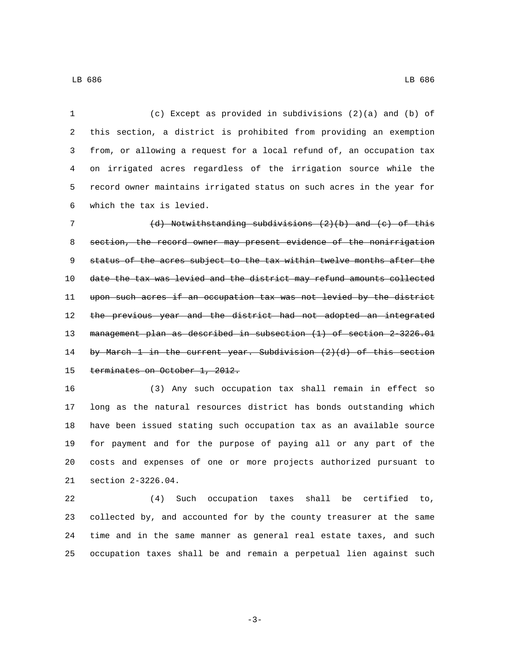(c) Except as provided in subdivisions (2)(a) and (b) of this section, a district is prohibited from providing an exemption from, or allowing a request for a local refund of, an occupation tax on irrigated acres regardless of the irrigation source while the record owner maintains irrigated status on such acres in the year for which the tax is levied.6

 (d) Notwithstanding subdivisions (2)(b) and (c) of this section, the record owner may present evidence of the nonirrigation 9 status of the acres subject to the tax within twelve months after the date the tax was levied and the district may refund amounts collected upon such acres if an occupation tax was not levied by the district 12 the previous year and the district had not adopted an integrated management plan as described in subsection (1) of section 2-3226.01 by March 1 in the current year. Subdivision (2)(d) of this section 15 terminates on October 1, 2012.

 (3) Any such occupation tax shall remain in effect so long as the natural resources district has bonds outstanding which have been issued stating such occupation tax as an available source for payment and for the purpose of paying all or any part of the costs and expenses of one or more projects authorized pursuant to 21 section 2-3226.04.

 (4) Such occupation taxes shall be certified to, collected by, and accounted for by the county treasurer at the same time and in the same manner as general real estate taxes, and such occupation taxes shall be and remain a perpetual lien against such

LB 686 LB 686

-3-